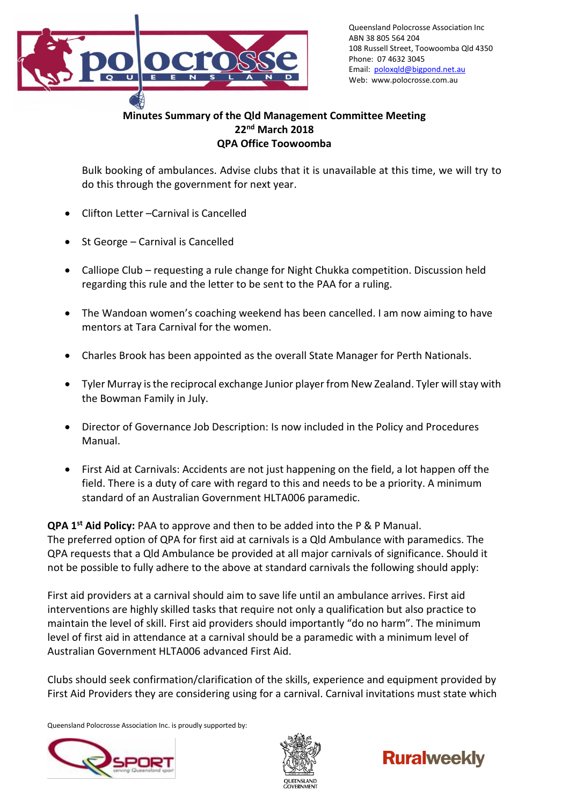

Queensland Polocrosse Association Inc ABN 38 805 564 204 108 Russell Street, Toowoomba Qld 4350 Phone: 07 4632 3045 Email: [poloxqld@bigpond.net.au](mailto:poloxqld@bigpond.net.au) Web: www.polocrosse.com.au

## **Minutes Summary of the Qld Management Committee Meeting 22nd March 2018 QPA Office Toowoomba**

Bulk booking of ambulances. Advise clubs that it is unavailable at this time, we will try to do this through the government for next year.

- Clifton Letter –Carnival is Cancelled
- St George Carnival is Cancelled
- Calliope Club requesting a rule change for Night Chukka competition. Discussion held regarding this rule and the letter to be sent to the PAA for a ruling.
- The Wandoan women's coaching weekend has been cancelled. I am now aiming to have mentors at Tara Carnival for the women.
- Charles Brook has been appointed as the overall State Manager for Perth Nationals.
- Tyler Murray is the reciprocal exchange Junior player from New Zealand. Tyler will stay with the Bowman Family in July.
- Director of Governance Job Description: Is now included in the Policy and Procedures Manual.
- First Aid at Carnivals: Accidents are not just happening on the field, a lot happen off the field. There is a duty of care with regard to this and needs to be a priority. A minimum standard of an Australian Government HLTA006 paramedic.

**QPA 1st Aid Policy:** PAA to approve and then to be added into the P & P Manual. The preferred option of QPA for first aid at carnivals is a Qld Ambulance with paramedics. The QPA requests that a Qld Ambulance be provided at all major carnivals of significance. Should it not be possible to fully adhere to the above at standard carnivals the following should apply:

First aid providers at a carnival should aim to save life until an ambulance arrives. First aid interventions are highly skilled tasks that require not only a qualification but also practice to maintain the level of skill. First aid providers should importantly "do no harm". The minimum level of first aid in attendance at a carnival should be a paramedic with a minimum level of Australian Government HLTA006 advanced First Aid.

Clubs should seek confirmation/clarification of the skills, experience and equipment provided by First Aid Providers they are considering using for a carnival. Carnival invitations must state which

Queensland Polocrosse Association Inc. is proudly supported by:





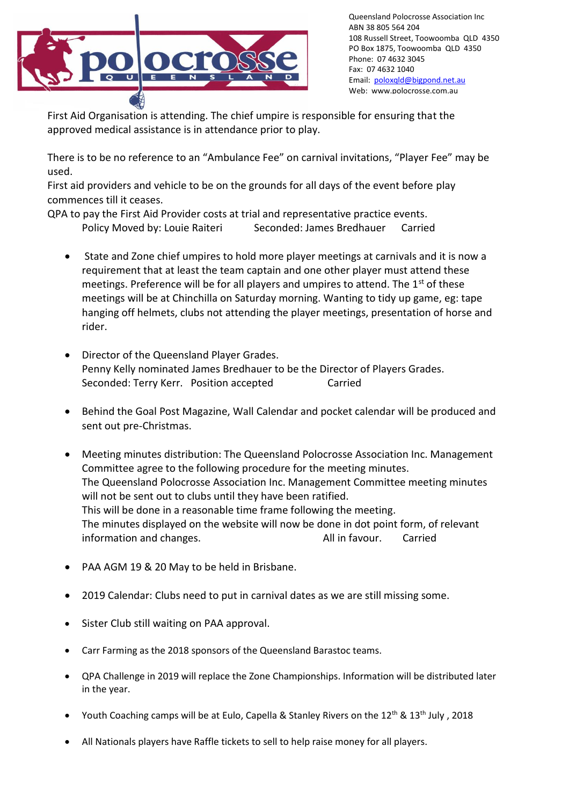

Queensland Polocrosse Association Inc ABN 38 805 564 204 108 Russell Street, Toowoomba QLD 4350 PO Box 1875, Toowoomba QLD 4350 Phone: 07 4632 3045 Fax: 07 4632 1040 Email: [poloxqld@bigpond.net.au](mailto:poloxqld@bigpond.net.au) Web: www.polocrosse.com.au

First Aid Organisation is attending. The chief umpire is responsible for ensuring that the approved medical assistance is in attendance prior to play.

There is to be no reference to an "Ambulance Fee" on carnival invitations, "Player Fee" may be used.

First aid providers and vehicle to be on the grounds for all days of the event before play commences till it ceases.

QPA to pay the First Aid Provider costs at trial and representative practice events. Policy Moved by: Louie Raiteri Seconded: James Bredhauer Carried

- State and Zone chief umpires to hold more player meetings at carnivals and it is now a requirement that at least the team captain and one other player must attend these meetings. Preference will be for all players and umpires to attend. The 1<sup>st</sup> of these meetings will be at Chinchilla on Saturday morning. Wanting to tidy up game, eg: tape hanging off helmets, clubs not attending the player meetings, presentation of horse and rider.
- Director of the Queensland Player Grades. Penny Kelly nominated James Bredhauer to be the Director of Players Grades. Seconded: Terry Kerr. Position accepted Carried
- Behind the Goal Post Magazine, Wall Calendar and pocket calendar will be produced and sent out pre-Christmas.
- Meeting minutes distribution: The Queensland Polocrosse Association Inc. Management Committee agree to the following procedure for the meeting minutes. The Queensland Polocrosse Association Inc. Management Committee meeting minutes will not be sent out to clubs until they have been ratified. This will be done in a reasonable time frame following the meeting. The minutes displayed on the website will now be done in dot point form, of relevant information and changes. The same control of the Mall in favour. Carried
- PAA AGM 19 & 20 May to be held in Brisbane.
- 2019 Calendar: Clubs need to put in carnival dates as we are still missing some.
- Sister Club still waiting on PAA approval.
- Carr Farming as the 2018 sponsors of the Queensland Barastoc teams.
- QPA Challenge in 2019 will replace the Zone Championships. Information will be distributed later in the year.
- Youth Coaching camps will be at Eulo, Capella & Stanley Rivers on the  $12^{th}$  &  $13^{th}$  July, 2018
- All Nationals players have Raffle tickets to sell to help raise money for all players.